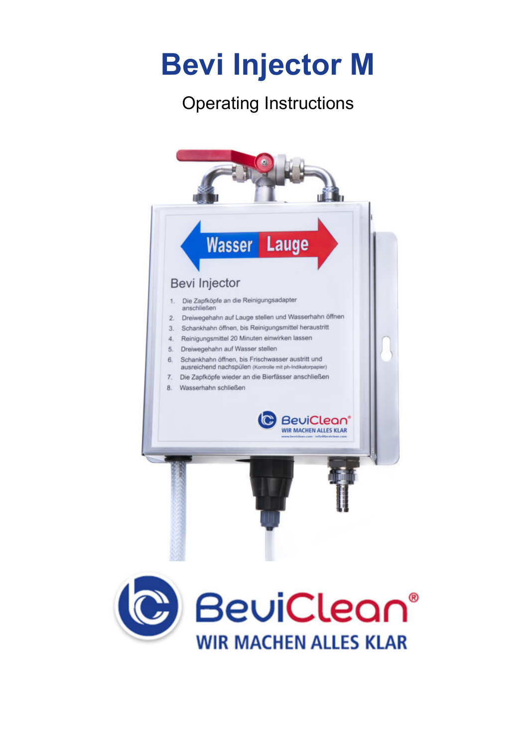# **Bevi Injector M**

## Operating Instructions

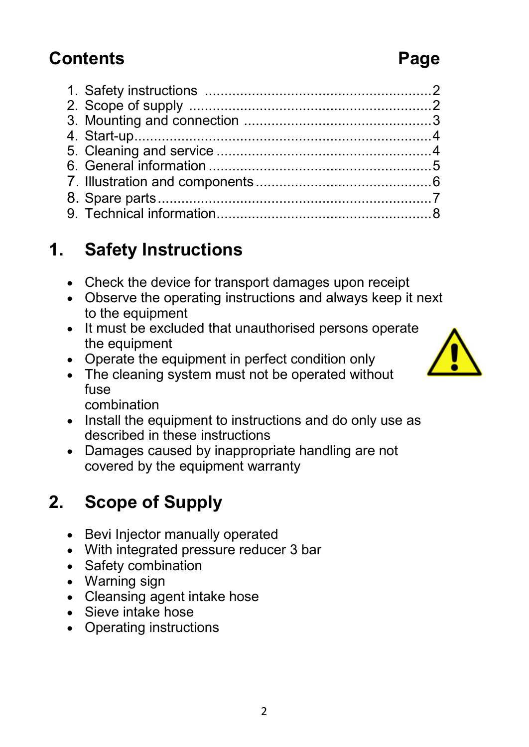### **Contents Page**

#### 1. Safety instructions .......................................................... 2 2. Scope of supply .............................................................. 2 3. Mounting and connection ................................................ 3 4. Start-up ............................................................................ 4 5. Cleaning and service ....................................................... 4 6. General information ......................................................... 5 7. Illustration and components ............................................. 6 8. Spare parts ...................................................................... 7

9. Technical information ....................................................... 8

# **1. Safety Instructions**

- Check the device for transport damages upon receipt
- Observe the operating instructions and always keep it next to the equipment
- It must be excluded that unauthorised persons operate the equipment
- Operate the equipment in perfect condition only
- The cleaning system must not be operated without fuse

combination

- Install the equipment to instructions and do only use as described in these instructions
- Damages caused by inappropriate handling are not covered by the equipment warranty

# **2. Scope of Supply**

- Bevi Injector manually operated
- With integrated pressure reducer 3 bar
- Safety combination
- Warning sign
- Cleansing agent intake hose
- Sieve intake hose
- Operating instructions

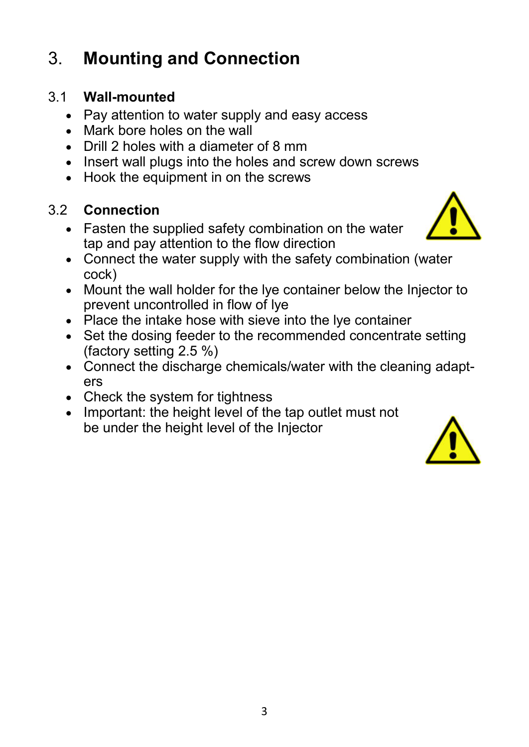# 3. **Mounting and Connection**

#### 3.1 **Wall-mounted**

- Pay attention to water supply and easy access
- Mark bore holes on the wall
- Drill 2 holes with a diameter of 8 mm
- Insert wall plugs into the holes and screw down screws
- Hook the equipment in on the screws

#### 3.2 **Connection**

 Fasten the supplied safety combination on the water tap and pay attention to the flow direction



- Connect the water supply with the safety combination (water cock)
- Mount the wall holder for the lye container below the Injector to prevent uncontrolled in flow of lye
- Place the intake hose with sieve into the lye container
- Set the dosing feeder to the recommended concentrate setting (factory setting 2.5 %)
- Connect the discharge chemicals/water with the cleaning adapters
- Check the system for tightness
- Important: the height level of the tap outlet must not be under the height level of the Injector

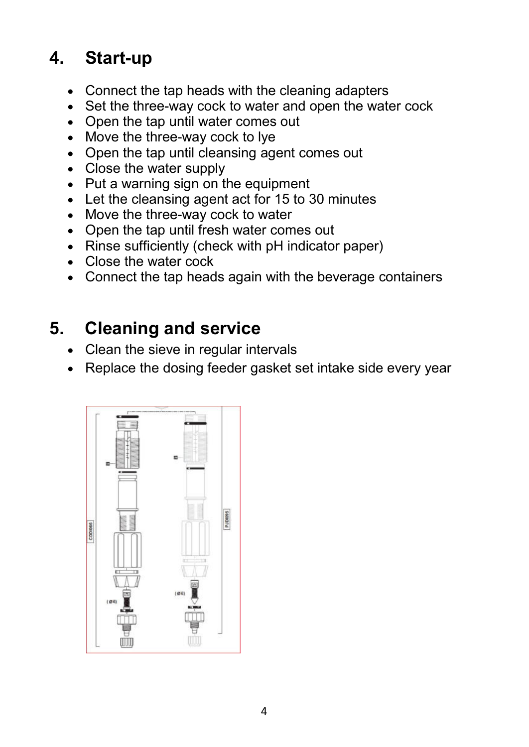## **4. Start-up**

- Connect the tap heads with the cleaning adapters
- Set the three-way cock to water and open the water cock
- Open the tap until water comes out
- Move the three-way cock to lye
- Open the tap until cleansing agent comes out
- Close the water supply
- Put a warning sign on the equipment
- Let the cleansing agent act for 15 to 30 minutes
- Move the three-way cock to water
- Open the tap until fresh water comes out
- Rinse sufficiently (check with pH indicator paper)
- Close the water cock
- Connect the tap heads again with the beverage containers

### **5. Cleaning and service**

- Clean the sieve in regular intervals
- Replace the dosing feeder gasket set intake side every year

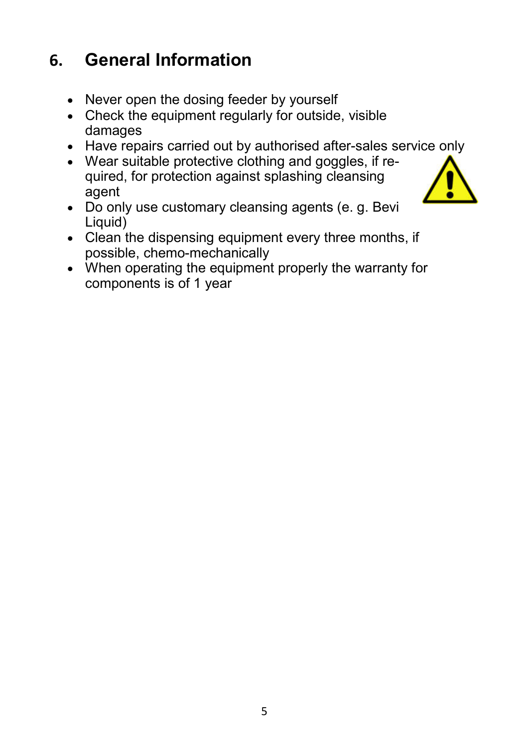### **6. General Information**

- Never open the dosing feeder by yourself
- Check the equipment regularly for outside, visible damages
- Have repairs carried out by authorised after-sales service only
- Wear suitable protective clothing and goggles, if required, for protection against splashing cleansing agent
- Do only use customary cleansing agents (e. g. Bevi Liquid)
- $\bullet$  Clean the dispensing equipment every three months, if possible, chemo-mechanically
- When operating the equipment properly the warranty for components is of 1 year

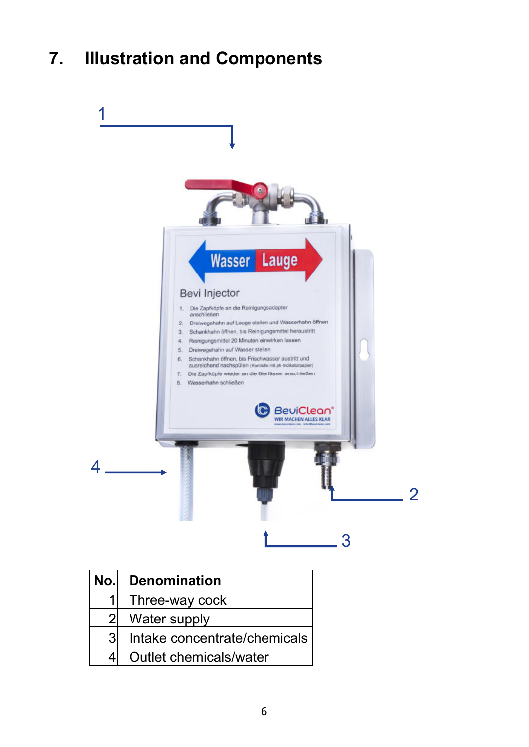# **7. Illustration and Components**



| No.l           | <b>Denomination</b>          |  |
|----------------|------------------------------|--|
|                | Three-way cock               |  |
| $\overline{2}$ | Water supply                 |  |
| $\overline{3}$ | Intake concentrate/chemicals |  |
|                | Outlet chemicals/water       |  |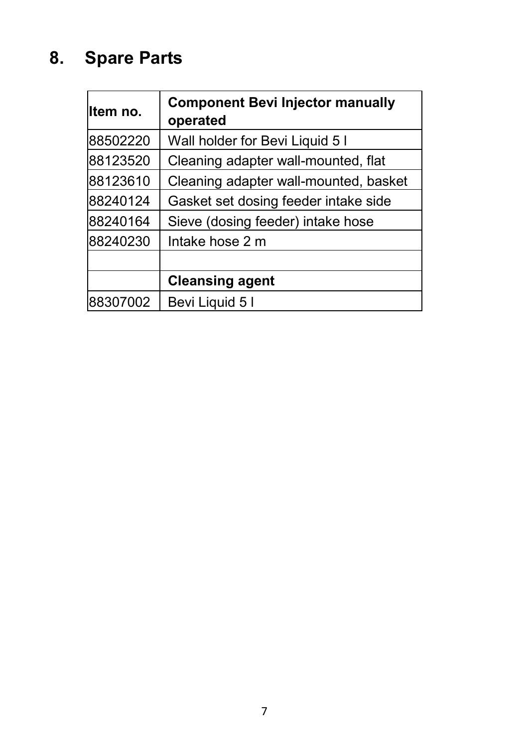# **8. Spare Parts**

| lltem no. | <b>Component Bevi Injector manually</b><br>operated |
|-----------|-----------------------------------------------------|
| 88502220  | Wall holder for Bevi Liquid 5 I                     |
| 88123520  | Cleaning adapter wall-mounted, flat                 |
| 88123610  | Cleaning adapter wall-mounted, basket               |
| 88240124  | Gasket set dosing feeder intake side                |
| 88240164  | Sieve (dosing feeder) intake hose                   |
| 88240230  | Intake hose 2 m                                     |
|           |                                                     |
|           | <b>Cleansing agent</b>                              |
| 88307002  | Bevi Liquid 5 I                                     |